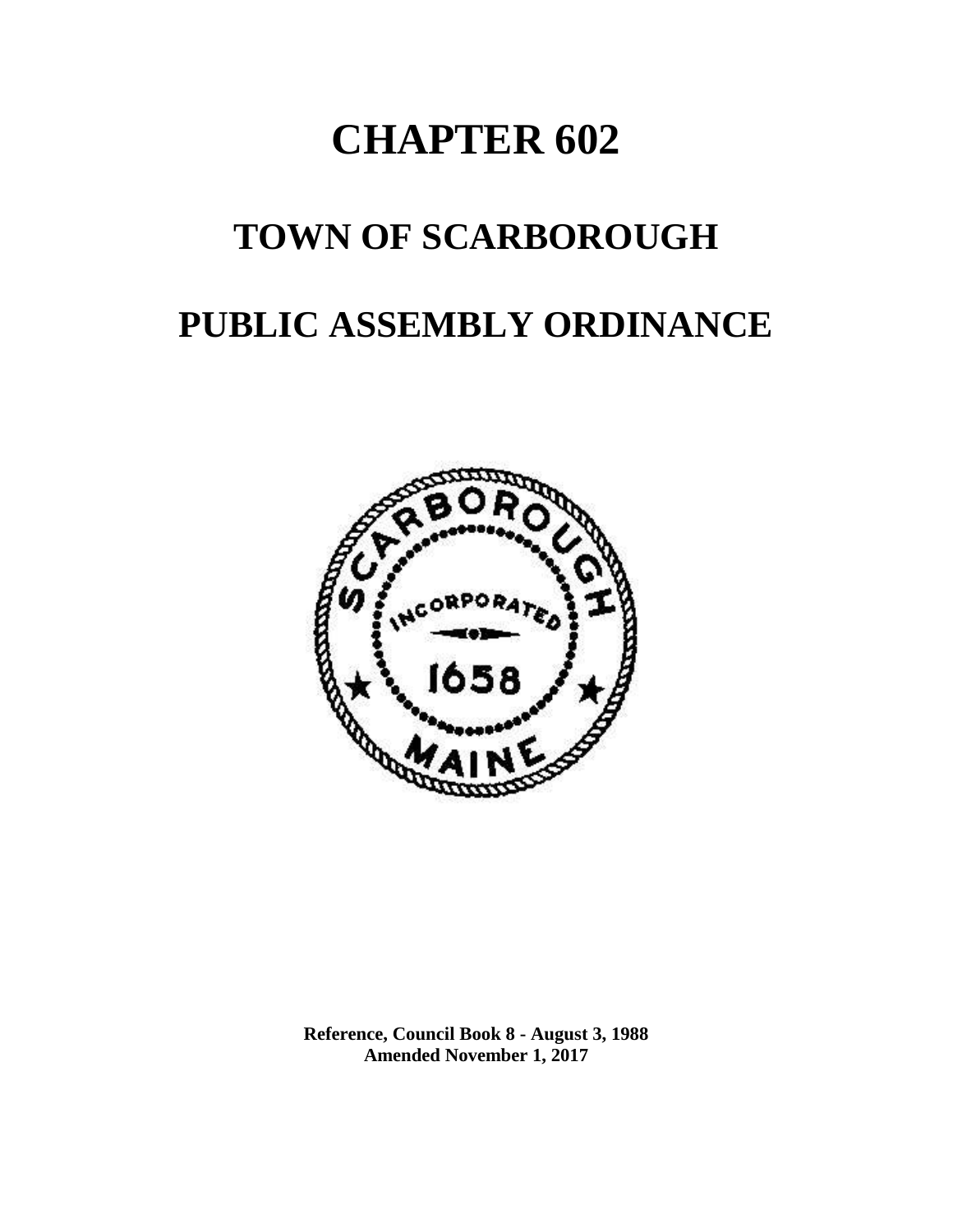# **CHAPTER 602**

## **TOWN OF SCARBOROUGH**

## **PUBLIC ASSEMBLY ORDINANCE**



**Reference, Council Book 8 - August 3, 1988 Amended November 1, 2017**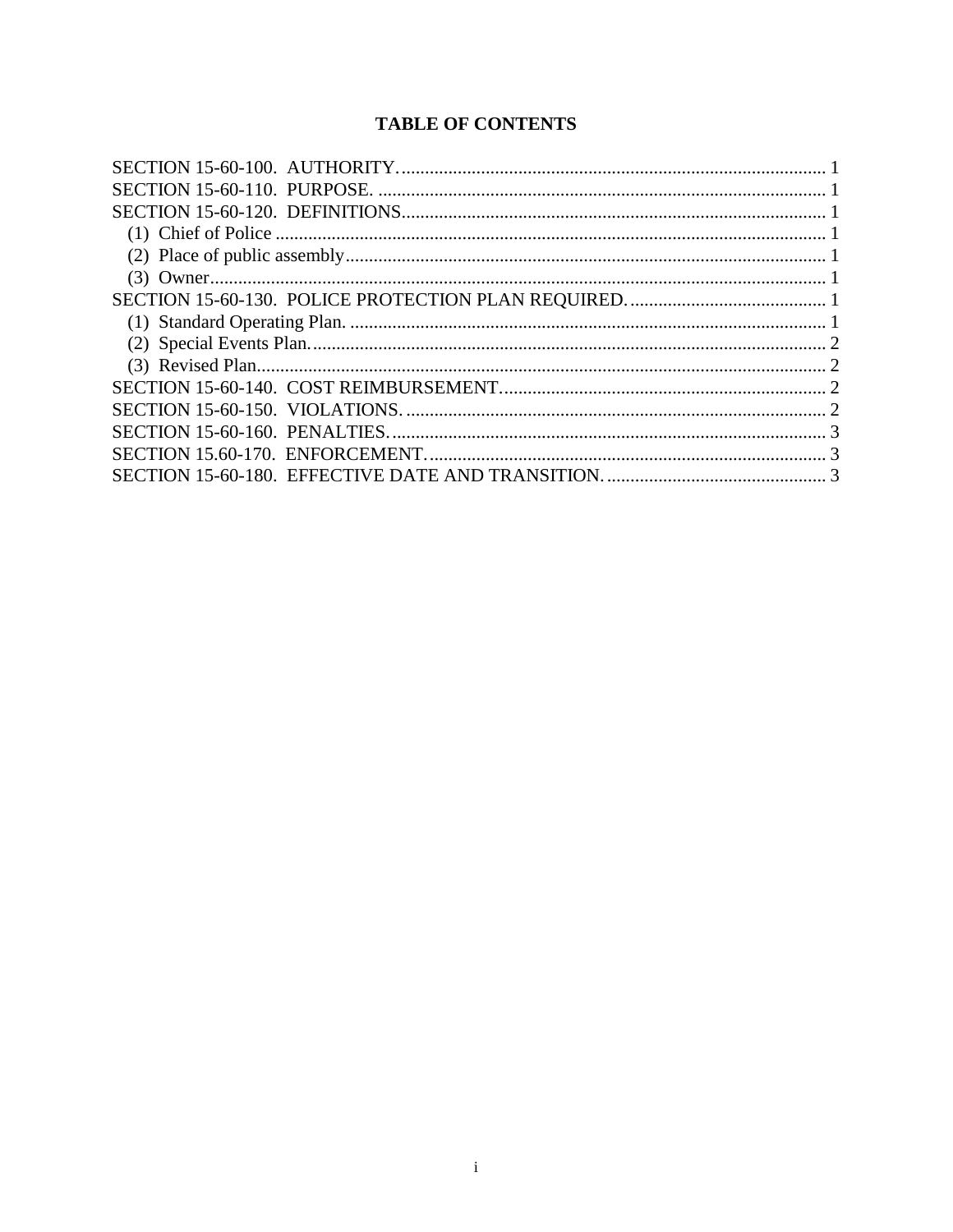### **TABLE OF CONTENTS**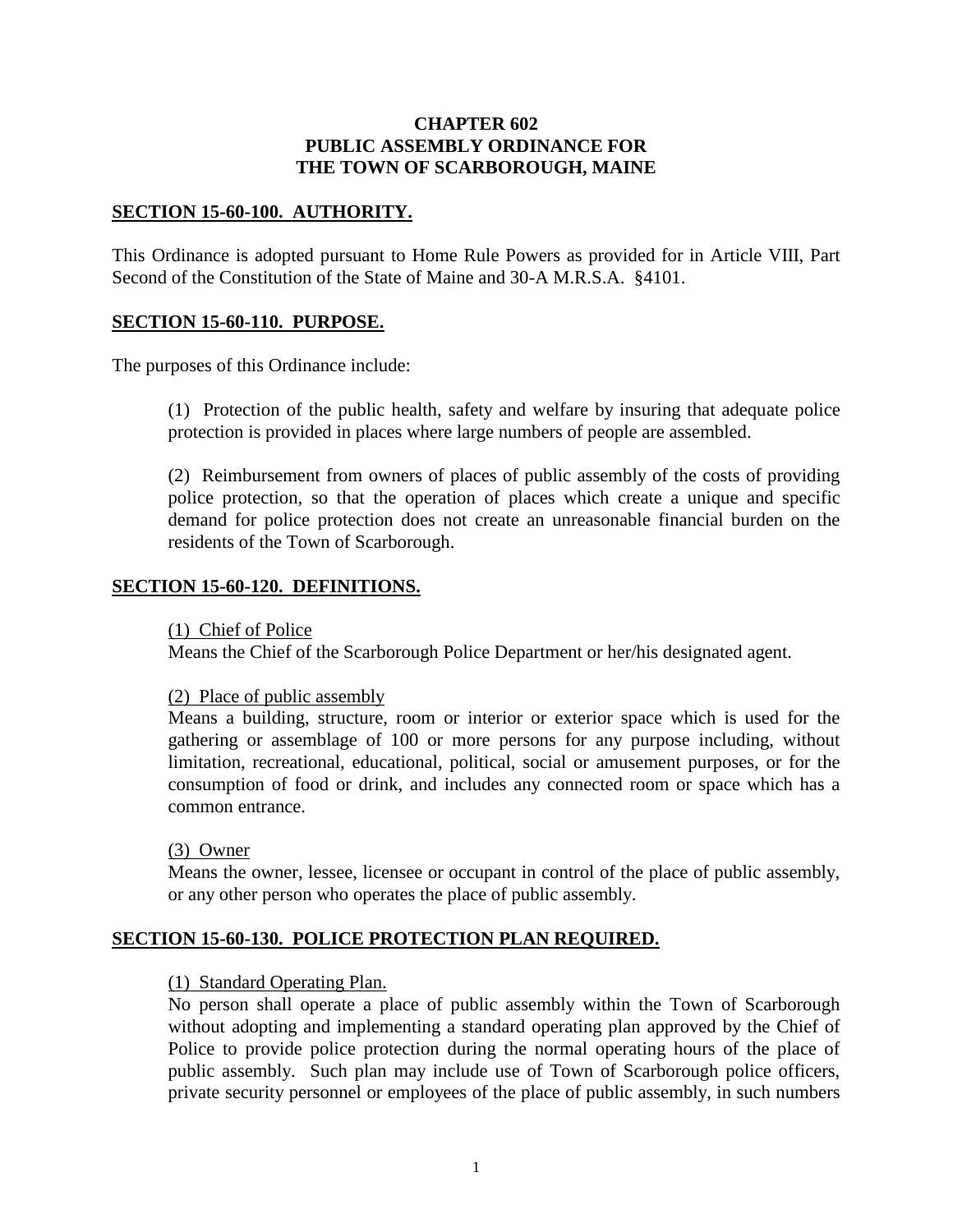#### **CHAPTER 602 PUBLIC ASSEMBLY ORDINANCE FOR THE TOWN OF SCARBOROUGH, MAINE**

#### <span id="page-2-0"></span>**SECTION 15-60-100. AUTHORITY.**

This Ordinance is adopted pursuant to Home Rule Powers as provided for in Article VIII, Part Second of the Constitution of the State of Maine and 30-A M.R.S.A. §4101.

#### <span id="page-2-1"></span>**SECTION 15-60-110. PURPOSE.**

The purposes of this Ordinance include:

(1) Protection of the public health, safety and welfare by insuring that adequate police protection is provided in places where large numbers of people are assembled.

(2) Reimbursement from owners of places of public assembly of the costs of providing police protection, so that the operation of places which create a unique and specific demand for police protection does not create an unreasonable financial burden on the residents of the Town of Scarborough.

#### <span id="page-2-3"></span><span id="page-2-2"></span>**SECTION 15-60-120. DEFINITIONS.**

(1) Chief of Police

Means the Chief of the Scarborough Police Department or her/his designated agent.

#### <span id="page-2-4"></span>(2) Place of public assembly

Means a building, structure, room or interior or exterior space which is used for the gathering or assemblage of 100 or more persons for any purpose including, without limitation, recreational, educational, political, social or amusement purposes, or for the consumption of food or drink, and includes any connected room or space which has a common entrance.

<span id="page-2-5"></span>(3) Owner

Means the owner, lessee, licensee or occupant in control of the place of public assembly, or any other person who operates the place of public assembly.

#### <span id="page-2-7"></span><span id="page-2-6"></span>**SECTION 15-60-130. POLICE PROTECTION PLAN REQUIRED.**

#### (1) Standard Operating Plan.

No person shall operate a place of public assembly within the Town of Scarborough without adopting and implementing a standard operating plan approved by the Chief of Police to provide police protection during the normal operating hours of the place of public assembly. Such plan may include use of Town of Scarborough police officers, private security personnel or employees of the place of public assembly, in such numbers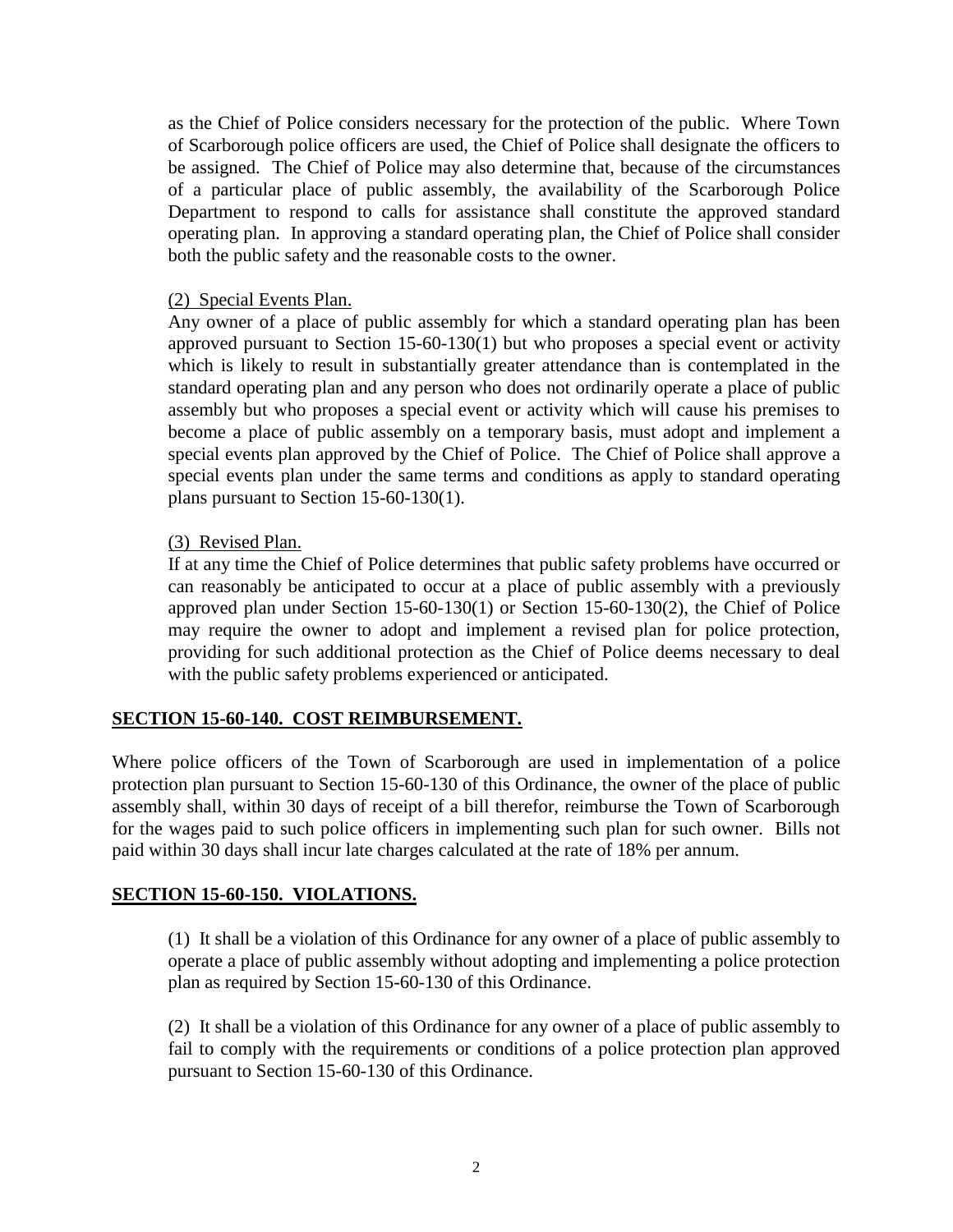as the Chief of Police considers necessary for the protection of the public. Where Town of Scarborough police officers are used, the Chief of Police shall designate the officers to be assigned. The Chief of Police may also determine that, because of the circumstances of a particular place of public assembly, the availability of the Scarborough Police Department to respond to calls for assistance shall constitute the approved standard operating plan. In approving a standard operating plan, the Chief of Police shall consider both the public safety and the reasonable costs to the owner.

#### <span id="page-3-0"></span>(2) Special Events Plan.

Any owner of a place of public assembly for which a standard operating plan has been approved pursuant to Section 15-60-130(1) but who proposes a special event or activity which is likely to result in substantially greater attendance than is contemplated in the standard operating plan and any person who does not ordinarily operate a place of public assembly but who proposes a special event or activity which will cause his premises to become a place of public assembly on a temporary basis, must adopt and implement a special events plan approved by the Chief of Police. The Chief of Police shall approve a special events plan under the same terms and conditions as apply to standard operating plans pursuant to Section 15-60-130(1).

#### <span id="page-3-1"></span>(3) Revised Plan.

If at any time the Chief of Police determines that public safety problems have occurred or can reasonably be anticipated to occur at a place of public assembly with a previously approved plan under Section 15-60-130(1) or Section 15-60-130(2), the Chief of Police may require the owner to adopt and implement a revised plan for police protection, providing for such additional protection as the Chief of Police deems necessary to deal with the public safety problems experienced or anticipated.

#### <span id="page-3-2"></span>**SECTION 15-60-140. COST REIMBURSEMENT.**

Where police officers of the Town of Scarborough are used in implementation of a police protection plan pursuant to Section 15-60-130 of this Ordinance, the owner of the place of public assembly shall, within 30 days of receipt of a bill therefor, reimburse the Town of Scarborough for the wages paid to such police officers in implementing such plan for such owner. Bills not paid within 30 days shall incur late charges calculated at the rate of 18% per annum.

#### <span id="page-3-3"></span>**SECTION 15-60-150. VIOLATIONS.**

(1) It shall be a violation of this Ordinance for any owner of a place of public assembly to operate a place of public assembly without adopting and implementing a police protection plan as required by Section 15-60-130 of this Ordinance.

(2) It shall be a violation of this Ordinance for any owner of a place of public assembly to fail to comply with the requirements or conditions of a police protection plan approved pursuant to Section 15-60-130 of this Ordinance.